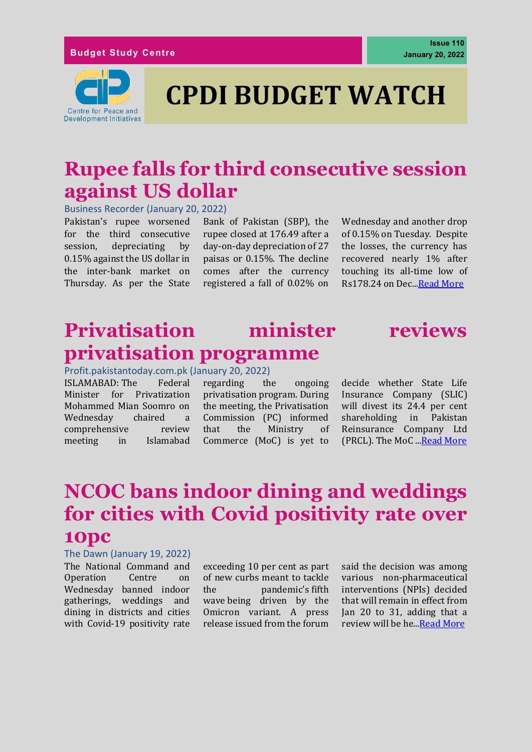#### **Budget Study Centre**



# **CPDI BUDGET WATCH**

# **Rupee falls for third consecutive session against US dollar**

Business Recorder (January 20, 2022)

Pakistan's rupee worsened for the third consecutive session, depreciating by 0.15% against the US dollar in the inter-bank market on Thursday. As per the State

Bank of Pakistan (SBP), the rupee closed at 176.49 after a day-on-day depreciation of 27 paisas or 0.15%. The decline comes after the currency registered a fall of 0.02% on Wednesday and another drop of 0.15% on Tuesday. Despite the losses, the currency has recovered nearly 1% after touching its all-time low of Rs178.24 on Dec.[..Read More](https://www.brecorder.com/news/40148579)

### **Privatisation minister reviews privatisation programme**



Profit.pakistantoday.com.pk (January 20, 2022)

ISLAMABAD: The Federal Minister for Privatization Mohammed Mian Soomro on Wednesday chaired a comprehensive review meeting in Islamabad

regarding the ongoing privatisation program. During the meeting, the Privatisation Commission (PC) informed that the Ministry of Commerce (MoC) is yet to

decide whether State Life Insurance Company (SLIC) will divest its 24.4 per cent shareholding in Pakistan Reinsurance Company Ltd (PRCL). The MoC ... Read More

# **NCOC bans indoor dining and weddings for cities with Covid positivity rate over 10pc**

#### The Dawn (January 19, 2022)

The National Command and Operation Centre on Wednesday banned indoor gatherings, weddings and dining in districts and cities with Covid-19 positivity rate

exceeding 10 per cent as part of new curbs meant to tackle the pandemic's [fifth](https://www.dawn.com/news/1667530)  [wave](https://www.dawn.com/news/1667530) being driven by the Omicron variant. A press release issued from the forum

said the decision was among various non-pharmaceutical interventions (NPIs) decided that will remain in effect from Jan 20 to 31, adding that a review will be he.[..Read More](https://www.dawn.com/news/1670338)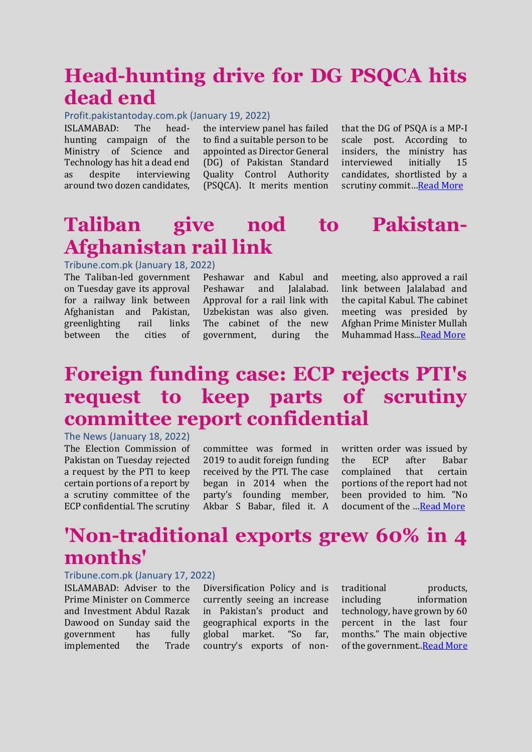# **Head-hunting drive for DG PSQCA hits dead end**

### Profit.pakistantoday.com.pk (January 19, 2022)

ISLAMABAD: The headhunting campaign of the Ministry of Science and Technology has hit a dead end as despite interviewing around two dozen candidates,

the interview panel has failed to find a suitable person to be appointed as Director General (DG) of Pakistan Standard Quality Control Authority (PSQCA). It merits mention

that the DG of PSQA is a MP-I scale post. According to insiders, the ministry has interviewed initially 15 candidates, shortlisted by a scrutiny commit…[Read More](https://profit.pakistantoday.com.pk/2022/01/19/head-hunting-drive-for-dg-psqca-hits-dead-end/)

# **Taliban give nod to Pakistan-Afghanistan rail link**

#### Tribune.com.pk (January 18, 2022)

The Taliban-led government on Tuesday gave its approval for a railway link between Afghanistan and Pakistan, greenlighting rail links between the cities of

Peshawar and Kabul and Peshawar and Jalalabad. Approval for a rail link with Uzbekistan was also given. The cabinet of the new government, during the meeting, also approved a rail link between Jalalabad and the capital Kabul. The cabinet meeting was presided by Afghan Prime Minister Mullah Muhammad Hass.[..Read More](https://tribune.com.pk/story/2339289/taliban-give-nod-to-pakistan-afghanistan-rail-link)

### **Foreign funding case: ECP rejects PTI's request to keep parts of scrutiny committee report confidential**

The News (January 18, 2022) The Election Commission of Pakistan on Tuesday rejected a request by the PTI to keep certain portions of a report by a scrutiny committee of the ECP confidential. The scrutiny

committee was formed in 2019 to audit foreign funding received by the PTI. The case began in 2014 when the party's founding member, Akbar S Babar, filed it. A

written order was issued by the ECP after Babar complained that certain portions of the report had not been provided to him. "No document of the …[Read More](https://www.thenews.com.pk/latest/926251-foreign-funding-case-ecp-rejects-ptis-request-to-keep-parts-of-scrutiny-committee-report-confidential)

### **'Non-traditional exports grew 60% in 4 months'**

### Tribune.com.pk (January 17, 2022)

ISLAMABAD: Adviser to the Prime Minister on Commerce and Investment Abdul Razak Dawood on Sunday said the government has fully implemented the Trade

Diversification Policy and is currently seeing an increase in Pakistan's product and geographical exports in the global market. "So far, country's exports of nontraditional products, including information technology, have grown by 60 percent in the last four months." The main objective of the government.[.Read More](https://tribune.com.pk/story/2339073/non-traditional-exports-grew-60-in-4-months)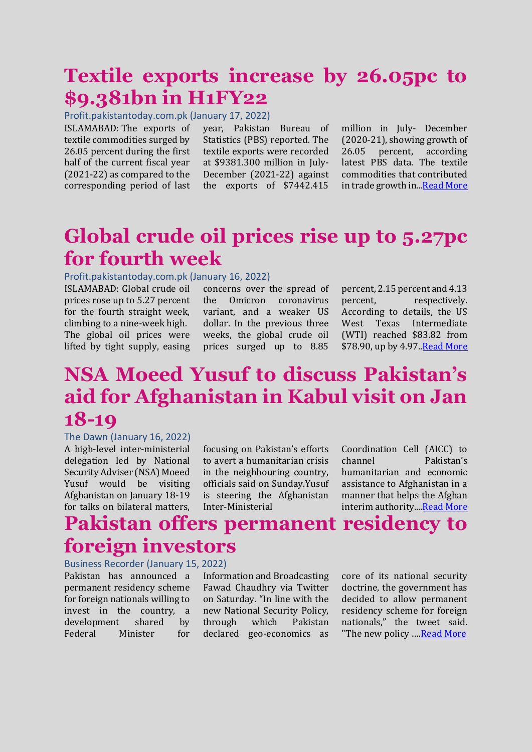### **Textile exports increase by 26.05pc to \$9.381bn in H1FY22**

Profit.pakistantoday.com.pk (January 17, 2022)

ISLAMABAD: The exports of textile commodities surged by 26.05 percent during the first half of the current fiscal year (2021-22) as compared to the corresponding period of last year, Pakistan Bureau of Statistics (PBS) reported. The textile exports were recorded at \$9381.300 million in July-December (2021-22) against the exports of \$7442.415

million in July- December (2020-21), showing growth of 26.05 percent, according latest PBS data. The textile commodities that contributed in trade growth in..[.Read More](https://profit.pakistantoday.com.pk/2022/01/17/textile-exports-increase-by-26-05pc-to-9-381bn-in-h1fy22/)

# **Global crude oil prices rise up to 5.27pc for fourth week**

### Profit.pakistantoday.com.pk (January 16, 2022)

ISLAMABAD: Global crude oil prices rose up to 5.27 percent for the fourth straight week, climbing to a nine-week high. The global oil prices were lifted by tight supply, easing

concerns over the spread of the Omicron coronavirus variant, and a weaker US dollar. In the previous three weeks, the global crude oil prices surged up to 8.85

percent, 2.15 percent and 4.13 percent. respectively. According to details, the US West Texas Intermediate (WTI) reached \$83.82 from \$78.90, up by 4.97. Read More

# **NSA Moeed Yusuf to discuss Pakistan's aid for Afghanistan in Kabul visit on Jan 18-19**

### The Dawn (January 16, 2022)

A high-level inter-ministerial delegation led by National Security Adviser (NSA) Moeed Yusuf would be visiting Afghanistan on January 18-19 for talks on bilateral matters,

focusing on Pakistan's efforts to avert a humanitarian crisis in the neighbouring country, officials said on Sunday.Yusuf is steering the Afghanistan Inter-Ministerial

Coordination Cell (AICC) to channel Pakistan's humanitarian and economic assistance to Afghanistan in a manner that helps the Afghan interim authority.... Read More

### **Pakistan offers permanent residency to foreign investors**

#### Business Recorder (January 15, 2022)

Pakistan has announced a permanent residency scheme for foreign nationals willing to invest in the country, a development shared by Federal Minister for

Information and Broadcasting Fawad Chaudhry via Twitter on Saturday. "In line with the new National Security Policy, through which Pakistan declared geo-economics as core of its national security doctrine, the government has decided to allow permanent residency scheme for foreign nationals," the tweet said. "The new policy .... [Read More](https://profit.pakistantoday.com.pk/2022/01/14/remittances-grow-by-11-3pc-to-15-8bn-in-h1fy22/)"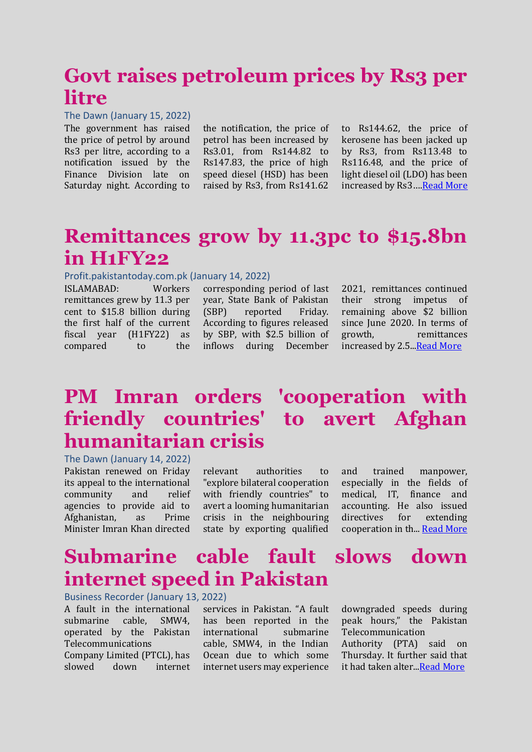### **Govt raises petroleum prices by Rs3 per litre**

#### The Dawn (January 15, 2022)

The government has raised the price of petrol by around Rs3 per litre, according to a notification issued by the Finance Division late on Saturday night. According to

the notification, the price of petrol has been increased by Rs3.01, from Rs144.82 to Rs147.83, the price of high speed diesel (HSD) has been raised by Rs3, from Rs141.62

to Rs144.62, the price of kerosene has been jacked up by Rs3, from Rs113.48 to Rs116.48, and the price of light diesel oil (LDO) has been increased by Rs3…[.Read More](https://www.dawn.com/news/1669613)

### **Remittances grow by 11.3pc to \$15.8bn in H1FY22**

#### Profit.pakistantoday.com.pk (January 14, 2022)

ISLAMABAD: Workers remittances grew by 11.3 per cent to \$15.8 billion during the first half of the current fiscal year (H1FY22) as compared to the

corresponding period of last year, State Bank of Pakistan (SBP) reported Friday. According to figures released by SBP, with \$2.5 billion of inflows during December

2021, remittances continued their strong impetus of remaining above \$2 billion since June 2020. In terms of growth, remittances increased by 2.5. Read More

# **PM Imran orders 'cooperation with friendly countries' to avert Afghan humanitarian crisis**

The Dawn (January 14, 2022)

Pakistan renewed on Friday its appeal to the international community and relief agencies to provide aid to Afghanistan, as Prime Minister Imran Khan directed relevant authorities to "explore bilateral cooperation with friendly countries" to avert a looming humanitarian crisis in the neighbouring state by exporting qualified and trained manpower, especially in the fields of medical, IT, finance and accounting. He also issued directives for extending cooperation in th..[. Read More](https://www.dawn.com/news/1669416)

### **Submarine cable fault slows down internet speed in Pakistan**

#### Business Recorder (January 13, 2022)

A fault in the international submarine cable, SMW4, operated by the Pakistan Telecommunications Company Limited (PTCL), has slowed down internet

services in Pakistan. "A fault has been reported in the international submarine cable, SMW4, in the Indian Ocean due to which some internet users may experience downgraded speeds during peak hours," the Pakistan Telecommunication Authority (PTA) said on Thursday. It further said that

it had taken alter.[..Read More](https://www.brecorder.com/news/40146963)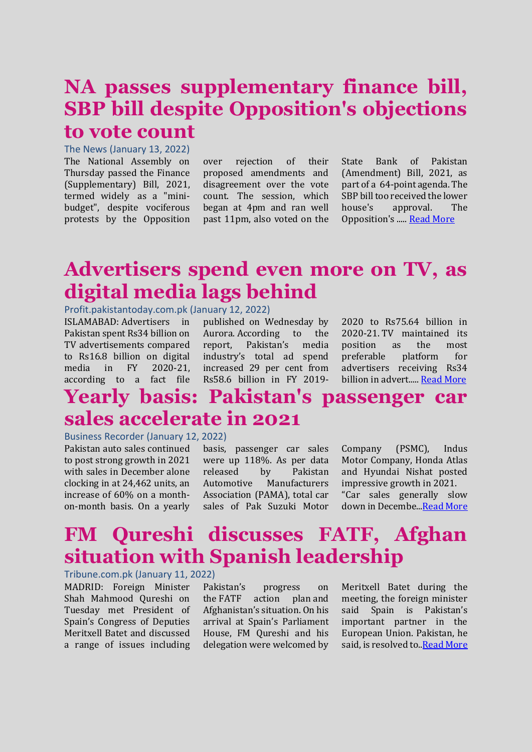### **NA passes supplementary finance bill, SBP bill despite Opposition's objections to vote count**

#### The News (January 13, 2022)

The National Assembly on Thursday passed the Finance (Supplementary) Bill, 2021, termed widely as a "minibudget", despite vociferous protests by the Opposition

over rejection of their proposed amendments and disagreement over the vote count. The session, which began at 4pm and ran well past 11pm, also voted on the

State Bank of Pakistan (Amendment) Bill, 2021, as part of a 64-point agenda. The SBP bill too received the lower house's approval. The Opposition's ..... [Read More](https://www.thenews.com.pk/latest/924930-national-assembly-debates-oppositions-amendments-to-mini-budget)

### **Advertisers spend even more on TV, as digital media lags behind**

Profit.pakistantoday.com.pk (January 12, 2022)

ISLAMABAD: Advertisers in Pakistan spent Rs34 billion on TV advertisements compared to Rs16.8 billion on digital media in FY 2020-21, according to a fact file

published on Wednesday by Aurora. According to the report, Pakistan's media industry's total ad spend increased 29 per cent from Rs58.6 billion in FY 2019-

2020 to Rs75.64 billion in 2020-21. TV maintained its position as the most preferable platform for advertisers receiving Rs34 billion in advert..... [Read More](https://profit.pakistantoday.com.pk/2022/01/12/advertisers-spend-on-tv-digital-media-lags-behind/)

# **Yearly basis: Pakistan's passenger car sales accelerate in 2021**

#### Business Recorder (January 12, 2022)

Pakistan auto sales continued to post strong growth in 2021 with sales in December alone clocking in at 24,462 units, an increase of 60% on a monthon-month basis. On a yearly basis, passenger car sales were up 118%. As per data released by Pakistan Automotive Manufacturers Association (PAMA), total car sales of Pak Suzuki Motor Company (PSMC), Indus Motor Company, Honda Atlas and Hyundai Nishat posted impressive growth in 2021. "Car sales generally slow down in Decembe..[.Read More](https://www.brecorder.com/news/40146578)

## **FM Qureshi discusses FATF, Afghan situation with Spanish leadership**

#### Tribune.com.pk (January 11, 2022)

MADRID: Foreign Minister Shah Mahmood Qureshi on Tuesday met President of Spain's Congress of Deputies Meritxell Batet and discussed a range of issues including

Pakistan's progress on the [FATF action plan](https://tribune.com.pk/story/2325759/pakistan-not-yet-off-the-fatf-hook) and Afghanistan's situation. On his arrival at Spain's Parliament House, FM Qureshi and his delegation were welcomed by Meritxell Batet during the meeting, the foreign minister said Spain is Pakistan's important partner in the European Union. Pakistan, he said, is resolved to.[.Read More](https://tribune.com.pk/story/2338232/fm-qureshi-discusses-fatf-afghan-situation-with-spanish-leadership)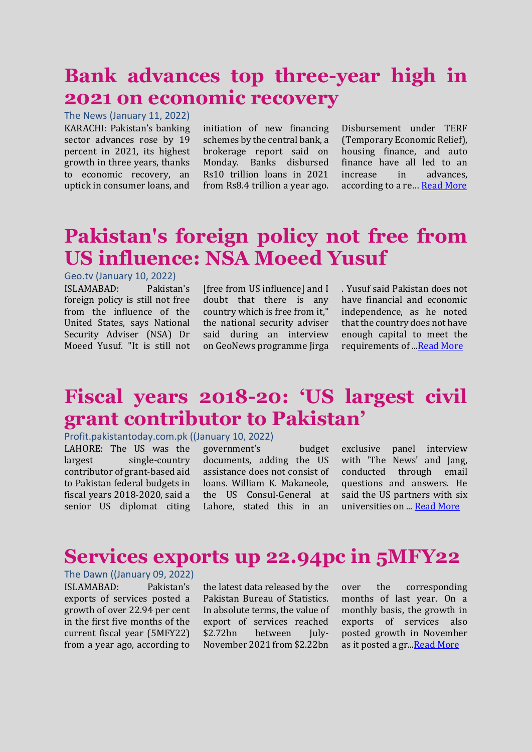# **Bank advances top three-year high in 2021 on economic recovery**

The News (January 11, 2022) KARACHI: Pakistan's banking sector advances rose by 19 percent in 2021, its highest growth in three years, thanks to economic recovery, an uptick in consumer loans, and

initiation of new financing schemes by the central bank, a brokerage report said on Monday. Banks disbursed Rs10 trillion loans in 2021 from Rs8.4 trillion a year ago. Disbursement under TERF (Temporary Economic Relief), housing finance, and auto finance have all led to an increase in advances, according to a re… [Read More](https://www.thenews.com.pk/print/924205-bank-advances-top-three-year-high-in-2021-on-economic-recovery)

# **Pakistan's foreign policy not free from US influence: NSA Moeed Yusuf**

### Geo.tv (January 10, 2022)

ISLAMABAD: Pakistan's foreign policy is still not free from the influence of the United States, says National Security Adviser (NSA) Dr Moeed Yusuf. "It is still not

[free from US influence] and I doubt that there is any country which is free from it," the national security adviser said during an interview on GeoNews programme Jirga . Yusuf said Pakistan does not have financial and economic independence, as he noted that the country does not have enough capital to meet the requirements of .[..Read More](https://www.geo.tv/latest/392546-pakistans-foreign-policy-not-free-from-us-influence-nsa-moeed-yusuf)

### **Fiscal years 2018-20: 'US largest civil grant contributor to Pakistan'**

### Profit.pakistantoday.com.pk ((January 10, 2022)

LAHORE: The US was the largest single-country contributor of grant-based aid to Pakistan federal budgets in fiscal years 2018-2020, said a senior US diplomat citing government's budget documents, adding the US assistance does not consist of loans. William K. Makaneole, the US Consul-General at Lahore, stated this in an exclusive panel interview with 'The News' and Jang. conducted through email questions and answers. He said the US partners with six universities on ... [Read More](https://www.thenews.com.pk/print/923951-overline-fiscal-years-2018-19-headline-us-single-largest-grant-contributor-to-pakistanhttps:/www.thenews.com.pk/print/923951-overline-fiscal-years-2018-19-headline-us-single-largest-grant-contributor-to-pakistan)

### **Services exports up 22.94pc in 5MFY22**

The Dawn ((January 09, 2022) ISLAMABAD: Pakistan's exports of services posted a growth of over 22.94 per cent in the first five months of the current fiscal year (5MFY22) from a year ago, according to

the latest data released by the Pakistan Bureau of Statistics. In absolute terms, the value of export of services reached \$2.72bn between July-November 2021 from \$2.22bn

over the corresponding months of last year. On a monthly basis, the growth in exports of services also posted growth in November as it posted a gr.[..Read More](https://www.dawn.com/news/1668420)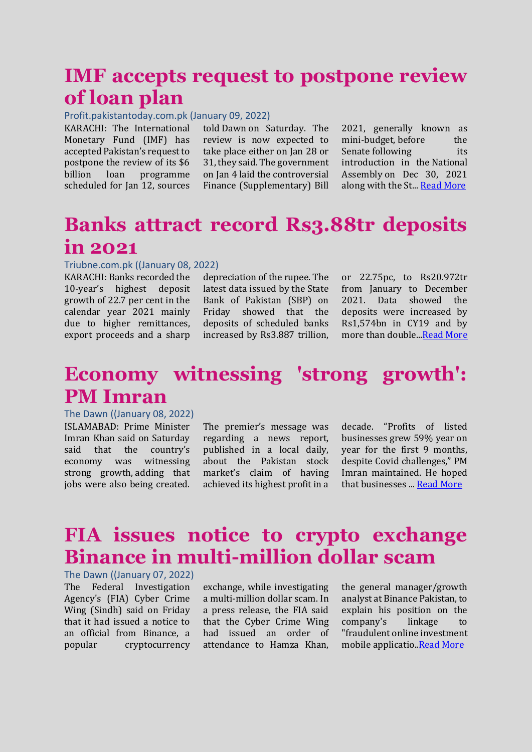### **IMF accepts request to postpone review of loan plan**

### Profit.pakistantoday.com.pk (January 09, 2022)

KARACHI: The International Monetary Fund (IMF) has accepted Pakistan's request to postpone the review of its \$6 billion loan programme scheduled for Jan 12, sources

told Dawn on Saturday. The review is now expected to take place either on Jan 28 or 31, they said. The government on Jan 4 laid the controversial Finance (Supplementary) Bill

2021, generally known as mini-budget, before the [Senate](https://www.dawn.com/news/1667624) following its introduction in the [National](https://www.dawn.com/news/1666660)  [Assembly](https://www.dawn.com/news/1666660) on Dec 30, 2021 along with the St... [Read More](https://www.dawn.com/news/1668396)

### **Banks attract record Rs3.88tr deposits in 2021**

#### Triubne.com.pk ((January 08, 2022)

KARACHI: Banks recorded the 10-year's highest deposit growth of 22.7 per cent in the calendar year 2021 mainly due to higher remittances, export proceeds and a sharp

depreciation of the rupee. The latest data issued by the State Bank of Pakistan (SBP) on Friday showed that the deposits of scheduled banks increased by Rs3.887 trillion, or 22.75pc, to Rs20.972tr from January to December 2021. Data showed the deposits were increased by Rs1,574bn in CY19 and by more than double.[..Read More](https://www.dawn.com/news/1668247/banks-attract-record-rs388tr-deposits-in-2021)

### **Economy witnessing 'strong growth': PM Imran**

#### The Dawn ((January 08, 2022)

ISLAMABAD: Prime Minister Imran Khan said on Saturday said that the country's economy was witnessing strong growth, adding that jobs were also being created.

The premier's message was regarding a news report, published in a local daily, about the Pakistan stock market's claim of having achieved its highest profit in a

decade. "Profits of listed businesses grew 59% year on year for the first 9 months, despite Covid challenges," PM Imran maintained. He hoped that businesses ... [Read More](https://tribune.com.pk/story/2337718/economy-witnessing-strong-growth-pm-imran)

### **FIA issues notice to crypto exchange Binance in multi-million dollar scam**

The Dawn ((January 07, 2022) The Federal Investigation Agency's (FIA) Cyber Crime Wing (Sindh) said on Friday that it had issued a notice to an official from Binance, a popular cryptocurrency

exchange, while investigating a multi-million dollar scam. In a press release, the FIA said that the Cyber Crime Wing had issued an order of attendance to Hamza Khan, the general manager/growth analyst at Binance Pakistan, to explain his position on the company's linkage to "fraudulent online investment mobile applicatio[..Read More](https://www.dawn.com/news/1668151)